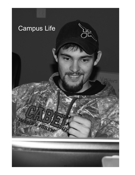

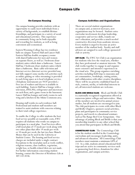## On-Campus Housing

On-campus housing provides students with an opportunity to easily meet individuals from a variety of backgrounds, to establish lifetime friendships, and participate in a variety of social and educational activities. This experience in community living can be both enjoyable and rewarding for students, as well as being convenient and economical.

Eastern Wyoming College has two residence halls on campus: Eastern Hall and Lancer Hall. Eastern Hall has double occupancy rooms with shared bathrooms for men and women on separate floors, as well as 2 bedroom (fourstudent) suites which share a bathroom. Lancer Hall has 2 bedroom (four-student) suites which share a bathroom. Basic cable television and Internet service (Internet service provided may not fully support some media-rich activities such as online gaming or video streaming) is provided in each living space as is local telephone service. (Telephone instruments are NOT provided.) Free use of washers and dryers is available in each building. Eastern Hall has a lounge with a television, DVD, Wii, refrigerator and microwave on each floor, and a game room in the basement. Lancer Hall has lounges and study rooms in each wing and a kitchen in the Atkins Commons area.

Housing staff resides in each residence hall. Professional and student staff members are trained to assist students with concerns relating to their total college experience.

To enable the College to offer students the best food service possible at reasonable costs, EWC requires all students who reside on campus to participate in a meal plan. Food Services offers a full meal plan of 17 meals per week along with two other plans that offer 14 meals per week or 10 meals per week; the last two have Munch Money that can be used in the Cafeteria or Student Center. The housing and food service charges are included under a single contract. Exceptions to the meal plan such as work conflict, religious reasons, class conflicts, vegetarian, weight loss, or health-related diets are not made. For further information concerning student housing, contact the Director of Residence Life at 307.532.8336.

## Campus Activities and Organizations

There are several student organizations on campus and, as interest increases, new organizations may be formed. Student extracurricular involvement develops leadership, cooperative and service skills, rounds out one's education, and provides a much needed constructive diversion from academic stresses. Every student is urged to become an active member of the student body. Faculty and staff advisors are assigned to each college-sponsored club or activity.

**ART CLUB:** The EWC Art Club is an organization for students who love the visual arts, whether they have professional or amateur interests. The club works together to engage in and organize more extensive and intensive experiences in the visual arts. This group organizes enriching activities including field trips to museums and art communities, workshops, visiting artists, and collaboration with other creative disciplines. There will be no priority established based on style, content, media, or individual interests in art; all interested students are welcome.

**BLOCK AND BRIDLE CLUB:** Block and Bridle Club is a nationally recognized organization offered at numerous junior colleges and universities. Many of the members are involved in animal science studies, but all students are encouraged to join. The club participates in events with other Block and Bridle Chapters, sponsors social activities, plans and participates in community service projects, and travels to educational seminars such as The Range Beef Cow Symposium. One advantage of joining Block and Bridle is that your membership transfers to any other school that you attend that participates in Block and Bridle.

**COSMETOLOGY CLUB:** The Cosmetology Club is for the student enrolled in the Cosmetology curriculum and encourages leadership, unity, and advanced education. All Cosmetology Club members must maintain a minimum GPA of 2.0. As a club, students attend educational field trips and are active in community services such as sponsoring food drives, donations for other organizations, and campus activities.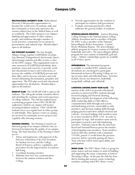# Campus Life

MULTICULTURAL DIVERSITY CLUB: Multicultural Diversity Club provides opportunities to broaden the world views of students, staff, and the Community to learn and experience the various cultures here in the United States as well as worldwide. The Club's purpose is to enhance thinking and appreciation of other cultures, people, and traditions through a number of social activities, community service projects, presentations, and cultural trips. Membership is open to all students.

GAY STRAIGHT ALLIANCE: The Gay Straight Alliance brings together LGBTIQQA (Lesbian, Gay, Bisexual, Transgendered, Intersexual, Queer, Questioning) students and allies to have a voice on the EWC campus. This organization exists to raise awareness of LGBTIQQ individuals, their positions, issues and concerns; to provide social and educational resources and connections; to increase the visibility of LGBTIQQ persons and their allies; and to increase tolerance and work toward eliminating discrimination, prejudice and oppression. The GSA plan social and educational opportunities for all students. Membership is open to all students.

**GEAR-UP CLUB:** The GEAR UP Club is open to all students. The club goals include retention efforts and enriching the academic and social experience of college students. The club has implemented a mentoring program where EWC GEAR UP sophomore students on campus will mentor incoming freshmen students. EWC GEAR UP students meet on a regular basis in either groups or individually. They sponsor events on campus, are involved in community service projects and regularly offer tutoring sessions.

HOUSING COUNCIL: The Housing Council is an informal group of on-campus residents who are interested in improving the quality of on-campus living. The basic functions of the Housing Council are to:

- 1. Advise and implement, with approval of the Director of Residence Life, Vice President for Student Services, and the College Board of Trustees, policies, regulations, and procedures for the improvement of residence hall living.
- 2. Coordinate housing activities.
- 3. Maintain close two-way communication between the student residents and the College.
- 4. Provide opportunities for the residents to participate in residence hall government.
- 5. Evaluate environmental factors which influence the general welfare of residents.

INTERCOLLEGIATE ATHLETICS: Eastern Wyoming College belongs to the National Junior College Athletic Association and is a member of Region IX. EWC is also a member of the National Intercollegiate Rodeo Association - Central Rocky Mountain Region. The intercollegiate athletic program for women consists of volleyball, basketball, and rodeo. The intercollegiate athletic program for men consists of basketball, golf and rodeo. Athletic scholarships/grants are available in all of these sports.

INTRAMURALS: The intramural program is available to enrolled EWC students and all students are encouraged to participate. Intramurals at Eastern Wyoming College are set up on team, dual, and individual basis. Activities include, but are not limited to, basketball, racquetball, softball, and volleyball.

LIVESTOCK JUDGING/SHOW TEAM CLUB: The mission of the club is to provide educational activities to interested EWC students through livestock judging and livestock showing. Objectives include development of the following skills: leadership skills as Club officers, communication skills through oral reasons and fundraising activities, social skills as club members, and decision-making skills through judging practices and show animal selection and contests. Livestock judging club members must be or have enrolled in ANSC 1210. In order to participate in trips, club members must actively participate in practice and club fundraising activities. National contests like the American Royal and National Western preset the number of participating team members. Team members must be full-time students with a minimum 2.0 GPA, passed 12 credit hours the previous semester, and be currently passing all classes. Team selection will be based upon ability and participation.

**MUSIC CLUB:** The EWC Music Club is a group for music majors and non-majors to assist in building and supporting the music community at Eastern Wyoming College. In the past the club has done this by hosting jam sessions, music technology seminars, assisting with EWC Music events,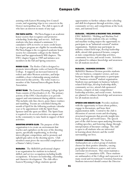## Campus Life

assisting with Eastern Wyoming Arts Council events, and organizing trips to see concerts in the Denver metropolitan area. The club is open to all who have an interest in music of any type.

**PHI THETA KAPPA:** Phi Theta Kappa is an academic honor society that recognizes and promotes scholarship, leadership, and service. Full-time students who have attained a minimum 3.5 cumulative GPA in twelve or more credit hours in a degree program are eligible for membership. Phi Theta Kappa is the recognized academic honor society for community colleges in the United States and has approximately 800 chapters. The EWC chapter began in 1989 and initiates new members in the Fall and Spring semesters.

RODEO CLUB: The Rodeo Club is designed to promote intercollegiate rodeo at Eastern Wyoming College. It supports an increased interest in rodeos and other Western activities, and helps establish a closer relationship among students interested in this activity. The rodeo team is a member of the National Intercollegiate Rodeo Association.

**SPIRIT TEAM:** The Eastern Wyoming College Spirit Team consists of Cheerleaders (5-8). The primary activity of the EWC Cheerleaders is to provide support and entertainment during athletic events. This includes side-line cheers, pom/dance routines and tumbling. Tryouts are scheduled during the month of April for the following academic calendar year or by appointment with the Spirit Team Sponsor until the spots are filled. The Spirit Team is required to do several activities on campus and in the community to raise funds in support of their activities.

**SHOOTING SPORTS CLUB:** The purpose of this organization is to create an environment that teaches and capitalizes on the joys of the shooting sports, specifically trapshooting, to develop intercollegiate competition, and to promote and uphold gun safety in the shooting sports. Club members must prove the successful completion of a Hunter's Safety Course.

**SkillsUSA:** The SkillsUSA professional chapter is an organization for students in technical, skilled, and service occupations including health occupations. It focuses on leadership, citizenship, and character development. The club offers Eastern Wyoming College students special

opportunities to further enhance their schooling and skill development through activities, trips, community service, and competitions at the local, state, and national level.

#### SkillsUSA / WELDING & MACHINE TOOL DIVISION:

EWC SkillsUSA / Welding and Machine Tool Division provides students who are welding and machine tooling majors the opportunity to participate in an "industrial-oriented" student organization. Students may participate in industry related field trips, develop leadership skills, attend club sponsored forums, compete at state competitions/leadership activities, community service, and social events. Activities are planned to enhance knowledge and awareness for all students involved.

SkillsUSA / BUSINESS DIVISION: EWC

SkillsUSA/Business Division provides students who are business, computer science, and nonbusiness majors the opportunity to participate in a "business-oriented" student organization. Students may participate in business/industry related field trips, develop leadership skills, community service, attend club sponsored forums, compete at state competitions/ leadership activities, and social events. Activities are planned to enhance knowledge and awareness for all students involved.

**SPEECH AND DEBATE CLUB:** Provides students with the opportunity to learn about politics, engage in discussions, and hone their argumentation skills. Central to the club is discussion of current events and developing structured arguments that provide insight into local, regional, and world issues. The speech part of the club focuses upon analyzing literature, crafting speeches, and fostering change through interpretation of literature cuttings. The club is open to all students who are interested in learning about rhetoric and the world surrounding our lives.

**STUDENT AMBASSADORS:** The Student Ambassadors are a select group of students chosen for their positive attitudes, varying geographical residences, majors, and extracurricular involvement. They must maintain a minimum 2.5 cumulative GPA. These students are ambassadors of the College and represent it at many social and recruitment/retention functions. Students interested should contact the Director